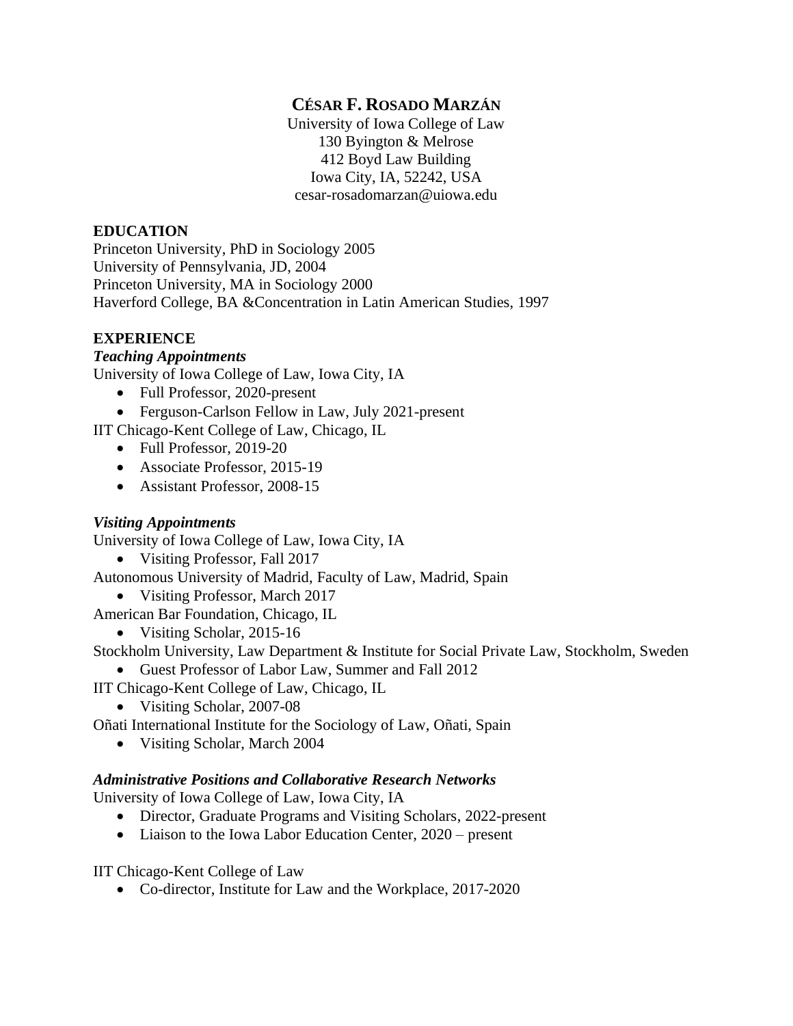# **CÉSAR F. ROSADO MARZÁN**

University of Iowa College of Law 130 Byington & Melrose 412 Boyd Law Building Iowa City, IA, 52242, USA cesar-rosadomarzan@uiowa.edu

## **EDUCATION**

Princeton University, PhD in Sociology 2005 University of Pennsylvania, JD, 2004 Princeton University, MA in Sociology 2000 Haverford College, BA &Concentration in Latin American Studies, 1997

## **EXPERIENCE**

### *Teaching Appointments*

University of Iowa College of Law, Iowa City, IA

- Full Professor, 2020-present
- Ferguson-Carlson Fellow in Law, July 2021-present

IIT Chicago-Kent College of Law, Chicago, IL

- Full Professor, 2019-20
- Associate Professor, 2015-19
- Assistant Professor, 2008-15

### *Visiting Appointments*

University of Iowa College of Law, Iowa City, IA

• Visiting Professor, Fall 2017

Autonomous University of Madrid, Faculty of Law, Madrid, Spain

• Visiting Professor, March 2017

American Bar Foundation, Chicago, IL

• Visiting Scholar, 2015-16

Stockholm University, Law Department & Institute for Social Private Law, Stockholm, Sweden

• Guest Professor of Labor Law, Summer and Fall 2012

IIT Chicago-Kent College of Law, Chicago, IL

• Visiting Scholar, 2007-08

Oñati International Institute for the Sociology of Law, Oñati, Spain

• Visiting Scholar, March 2004

### *Administrative Positions and Collaborative Research Networks*

University of Iowa College of Law, Iowa City, IA

- Director, Graduate Programs and Visiting Scholars, 2022-present
- Liaison to the Iowa Labor Education Center, 2020 present

IIT Chicago-Kent College of Law

• Co-director, Institute for Law and the Workplace, 2017-2020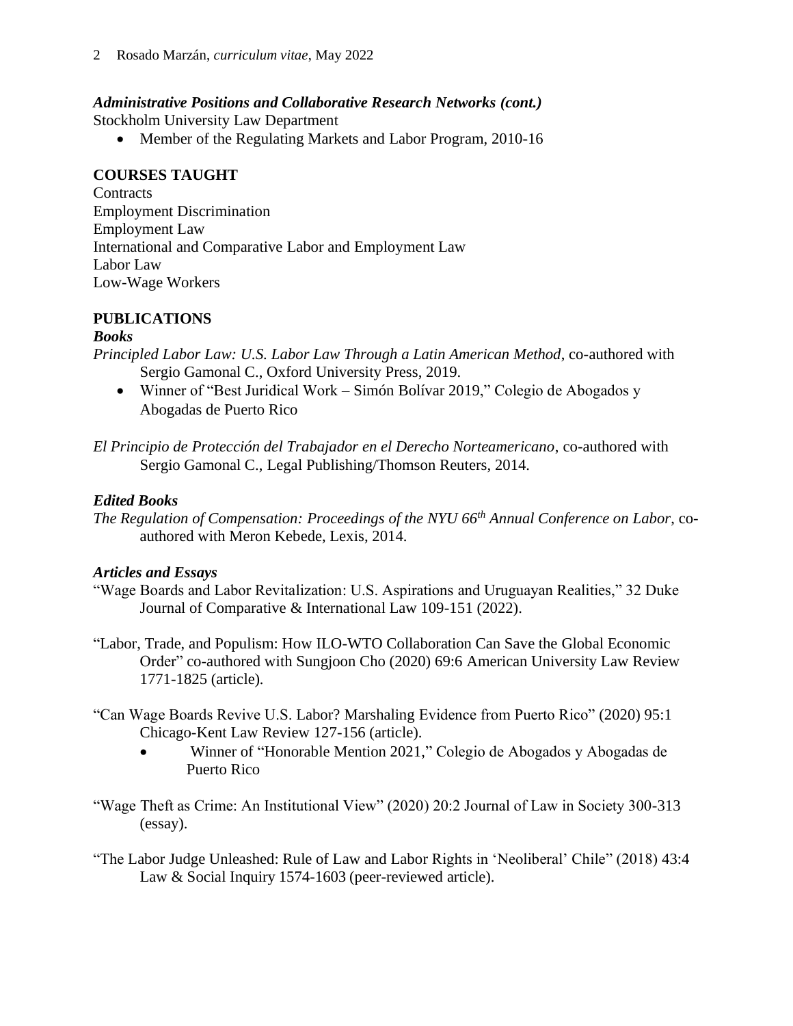## *Administrative Positions and Collaborative Research Networks (cont.)*

Stockholm University Law Department

• Member of the Regulating Markets and Labor Program, 2010-16

## **COURSES TAUGHT**

**Contracts** Employment Discrimination Employment Law International and Comparative Labor and Employment Law Labor Law Low-Wage Workers

## **PUBLICATIONS**

### *Books*

*Principled Labor Law: U.S. Labor Law Through a Latin American Method*, co-authored with Sergio Gamonal C., Oxford University Press, 2019.

- Winner of "Best Juridical Work Simón Bolívar 2019," Colegio de Abogados y Abogadas de Puerto Rico
- *El Principio de Protección del Trabajador en el Derecho Norteamericano*, co-authored with Sergio Gamonal C., Legal Publishing/Thomson Reuters, 2014.

## *Edited Books*

*The Regulation of Compensation: Proceedings of the NYU 66th Annual Conference on Labor*, coauthored with Meron Kebede, Lexis, 2014.

### *Articles and Essays*

- "Wage Boards and Labor Revitalization: U.S. Aspirations and Uruguayan Realities," 32 Duke Journal of Comparative & International Law 109-151 (2022).
- "Labor, Trade, and Populism: How ILO-WTO Collaboration Can Save the Global Economic Order" co-authored with Sungjoon Cho (2020) 69:6 American University Law Review 1771-1825 (article)*.*
- "Can Wage Boards Revive U.S. Labor? Marshaling Evidence from Puerto Rico" (2020) 95:1 Chicago-Kent Law Review 127-156 (article).
	- Winner of "Honorable Mention 2021," Colegio de Abogados y Abogadas de Puerto Rico
- "Wage Theft as Crime: An Institutional View" (2020) 20:2 Journal of Law in Society 300-313 (essay).
- "The Labor Judge Unleashed: Rule of Law and Labor Rights in 'Neoliberal' Chile" (2018) 43:4 Law & Social Inquiry 1574-1603 (peer-reviewed article).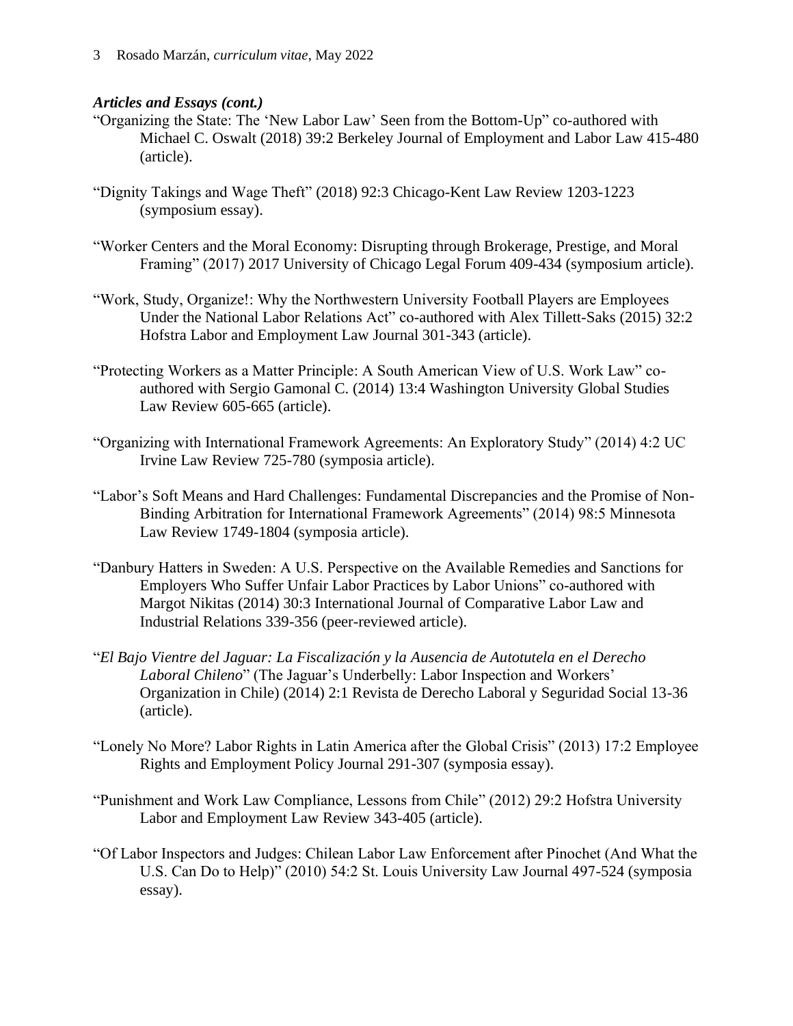#### *Articles and Essays (cont.)*

- "Organizing the State: The 'New Labor Law' Seen from the Bottom-Up" co-authored with Michael C. Oswalt (2018) 39:2 Berkeley Journal of Employment and Labor Law 415-480 (article).
- "Dignity Takings and Wage Theft" (2018) 92:3 Chicago-Kent Law Review 1203-1223 (symposium essay).
- "Worker Centers and the Moral Economy: Disrupting through Brokerage, Prestige, and Moral Framing" (2017) 2017 University of Chicago Legal Forum 409-434 (symposium article).
- "Work, Study, Organize!: Why the Northwestern University Football Players are Employees Under the National Labor Relations Act" co-authored with Alex Tillett-Saks (2015) 32:2 Hofstra Labor and Employment Law Journal 301-343 (article).
- "Protecting Workers as a Matter Principle: A South American View of U.S. Work Law" coauthored with Sergio Gamonal C. (2014) 13:4 Washington University Global Studies Law Review 605-665 (article).
- "Organizing with International Framework Agreements: An Exploratory Study" (2014) 4:2 UC Irvine Law Review 725-780 (symposia article).
- "Labor's Soft Means and Hard Challenges: Fundamental Discrepancies and the Promise of Non-Binding Arbitration for International Framework Agreements" (2014) 98:5 Minnesota Law Review 1749-1804 (symposia article).
- "Danbury Hatters in Sweden: A U.S. Perspective on the Available Remedies and Sanctions for Employers Who Suffer Unfair Labor Practices by Labor Unions" co-authored with Margot Nikitas (2014) 30:3 International Journal of Comparative Labor Law and Industrial Relations 339-356 (peer-reviewed article).
- "*El Bajo Vientre del Jaguar: La Fiscalización y la Ausencia de Autotutela en el Derecho Laboral Chileno*" (The Jaguar's Underbelly: Labor Inspection and Workers' Organization in Chile) (2014) 2:1 Revista de Derecho Laboral y Seguridad Social 13-36 (article).
- "Lonely No More? Labor Rights in Latin America after the Global Crisis" (2013) 17:2 Employee Rights and Employment Policy Journal 291-307 (symposia essay).
- "Punishment and Work Law Compliance, Lessons from Chile" (2012) 29:2 Hofstra University Labor and Employment Law Review 343-405 (article).
- "Of Labor Inspectors and Judges: Chilean Labor Law Enforcement after Pinochet (And What the U.S. Can Do to Help)" (2010) 54:2 St. Louis University Law Journal 497-524 (symposia essay).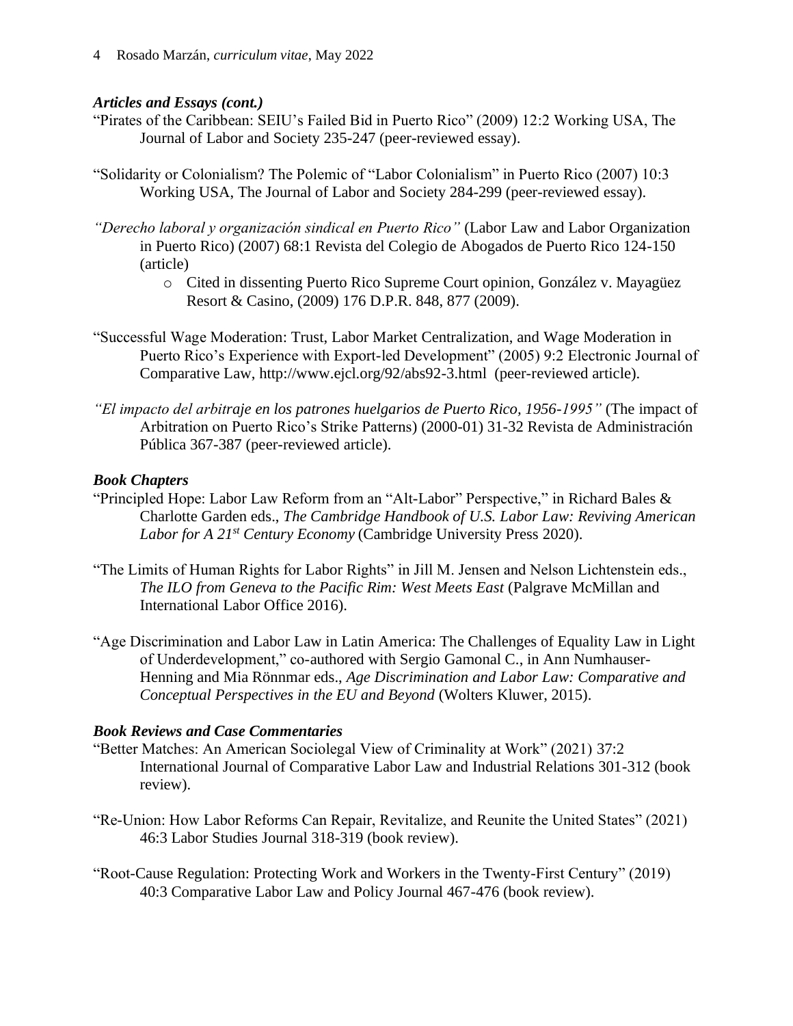#### *Articles and Essays (cont.)*

- "Pirates of the Caribbean: SEIU's Failed Bid in Puerto Rico" (2009) 12:2 Working USA, The Journal of Labor and Society 235-247 (peer-reviewed essay).
- "Solidarity or Colonialism? The Polemic of "Labor Colonialism" in Puerto Rico (2007) 10:3 Working USA, The Journal of Labor and Society 284-299 (peer-reviewed essay).
- *"Derecho laboral y organización sindical en Puerto Rico"* (Labor Law and Labor Organization in Puerto Rico) (2007) 68:1 Revista del Colegio de Abogados de Puerto Rico 124-150 (article)
	- o Cited in dissenting Puerto Rico Supreme Court opinion, González v. Mayagüez Resort & Casino, (2009) 176 D.P.R. 848, 877 (2009).
- "Successful Wage Moderation: Trust, Labor Market Centralization, and Wage Moderation in Puerto Rico's Experience with Export-led Development" (2005) 9:2 Electronic Journal of Comparative Law, http://www.ejcl.org/92/abs92-3.html (peer-reviewed article).
- *"El impacto del arbitraje en los patrones huelgarios de Puerto Rico, 1956-1995"* (The impact of Arbitration on Puerto Rico's Strike Patterns) (2000-01) 31-32 Revista de Administración Pública 367-387 (peer-reviewed article).

### *Book Chapters*

- "Principled Hope: Labor Law Reform from an "Alt-Labor" Perspective," in Richard Bales & Charlotte Garden eds., *The Cambridge Handbook of U.S. Labor Law: Reviving American Labor for A 21st Century Economy* (Cambridge University Press 2020).
- "The Limits of Human Rights for Labor Rights" in Jill M. Jensen and Nelson Lichtenstein eds., *The ILO from Geneva to the Pacific Rim: West Meets East* (Palgrave McMillan and International Labor Office 2016).
- "Age Discrimination and Labor Law in Latin America: The Challenges of Equality Law in Light of Underdevelopment," co-authored with Sergio Gamonal C., in Ann Numhauser-Henning and Mia Rönnmar eds., *Age Discrimination and Labor Law: Comparative and Conceptual Perspectives in the EU and Beyond* (Wolters Kluwer, 2015).

### *Book Reviews and Case Commentaries*

- "Better Matches: An American Sociolegal View of Criminality at Work" (2021) 37:2 International Journal of Comparative Labor Law and Industrial Relations 301-312 (book review).
- "Re-Union: How Labor Reforms Can Repair, Revitalize, and Reunite the United States" (2021) 46:3 Labor Studies Journal 318-319 (book review).
- "Root-Cause Regulation: Protecting Work and Workers in the Twenty-First Century" (2019) 40:3 Comparative Labor Law and Policy Journal 467-476 (book review).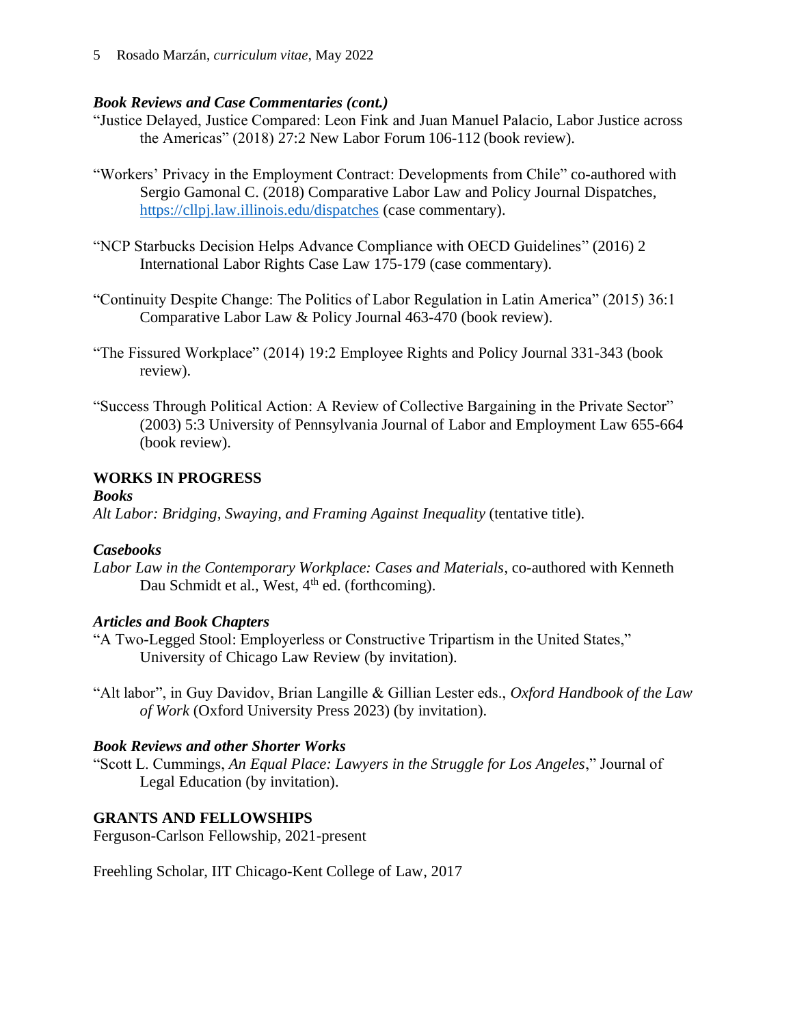#### *Book Reviews and Case Commentaries (cont.)*

- "Justice Delayed, Justice Compared: Leon Fink and Juan Manuel Palacio, Labor Justice across the Americas" (2018) 27:2 New Labor Forum 106-112 (book review).
- "Workers' Privacy in the Employment Contract: Developments from Chile" co-authored with Sergio Gamonal C. (2018) Comparative Labor Law and Policy Journal Dispatches, <https://cllpj.law.illinois.edu/dispatches> (case commentary).
- "NCP Starbucks Decision Helps Advance Compliance with OECD Guidelines" (2016) 2 International Labor Rights Case Law 175-179 (case commentary).
- "Continuity Despite Change: The Politics of Labor Regulation in Latin America" (2015) 36:1 Comparative Labor Law & Policy Journal 463-470 (book review).
- "The Fissured Workplace" (2014) 19:2 Employee Rights and Policy Journal 331-343 (book review).
- "Success Through Political Action: A Review of Collective Bargaining in the Private Sector" (2003) 5:3 University of Pennsylvania Journal of Labor and Employment Law 655-664 (book review).

## **WORKS IN PROGRESS**

#### *Books*

*Alt Labor: Bridging, Swaying, and Framing Against Inequality* (tentative title).

### *Casebooks*

*Labor Law in the Contemporary Workplace: Cases and Materials*, co-authored with Kenneth Dau Schmidt et al., West, 4<sup>th</sup> ed. (forthcoming).

### *Articles and Book Chapters*

- "A Two-Legged Stool: Employerless or Constructive Tripartism in the United States," University of Chicago Law Review (by invitation).
- "Alt labor", in Guy Davidov, Brian Langille & Gillian Lester eds., *Oxford Handbook of the Law of Work* (Oxford University Press 2023) (by invitation).

### *Book Reviews and other Shorter Works*

"Scott L. Cummings, *An Equal Place: Lawyers in the Struggle for Los Angeles*," Journal of Legal Education (by invitation).

## **GRANTS AND FELLOWSHIPS**

Ferguson-Carlson Fellowship, 2021-present

Freehling Scholar, IIT Chicago-Kent College of Law, 2017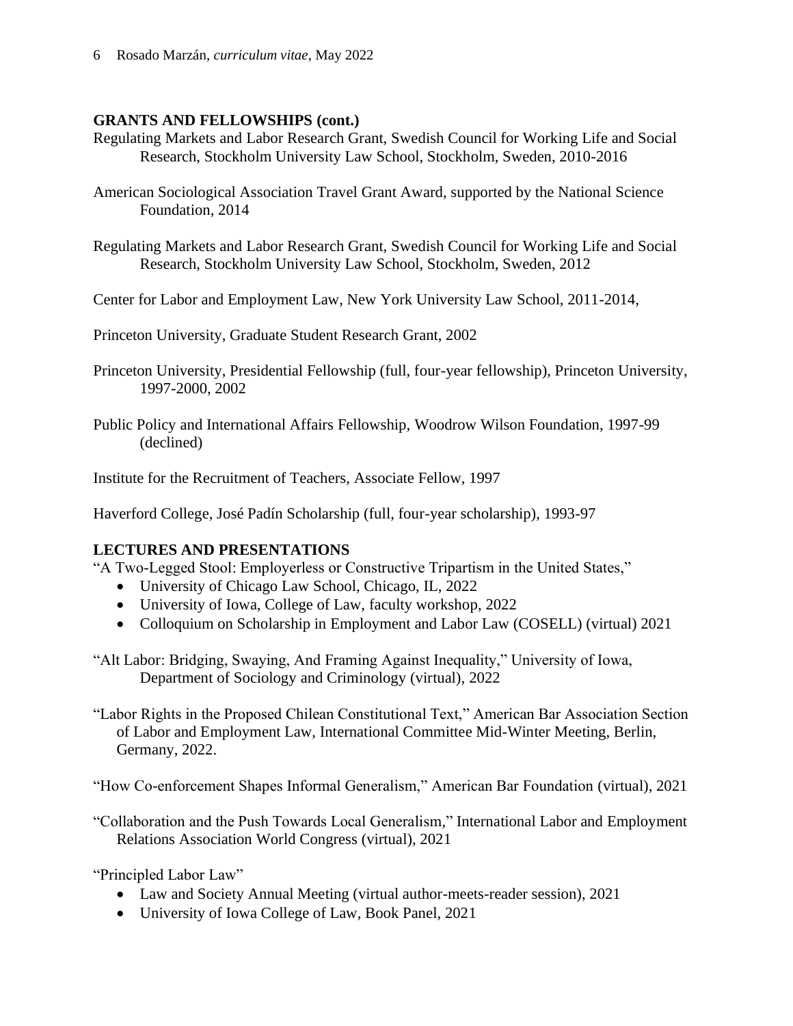### **GRANTS AND FELLOWSHIPS (cont.)**

- Regulating Markets and Labor Research Grant, Swedish Council for Working Life and Social Research, Stockholm University Law School, Stockholm, Sweden, 2010-2016
- American Sociological Association Travel Grant Award, supported by the National Science Foundation, 2014
- Regulating Markets and Labor Research Grant, Swedish Council for Working Life and Social Research, Stockholm University Law School, Stockholm, Sweden, 2012
- Center for Labor and Employment Law, New York University Law School, 2011-2014,

Princeton University, Graduate Student Research Grant, 2002

- Princeton University, Presidential Fellowship (full, four-year fellowship), Princeton University, 1997-2000, 2002
- Public Policy and International Affairs Fellowship, Woodrow Wilson Foundation, 1997-99 (declined)

Institute for the Recruitment of Teachers, Associate Fellow, 1997

Haverford College, José Padín Scholarship (full, four-year scholarship), 1993-97

### **LECTURES AND PRESENTATIONS**

"A Two-Legged Stool: Employerless or Constructive Tripartism in the United States,"

- University of Chicago Law School, Chicago, IL, 2022
- University of Iowa, College of Law, faculty workshop, 2022
- Colloquium on Scholarship in Employment and Labor Law (COSELL) (virtual) 2021
- "Alt Labor: Bridging, Swaying, And Framing Against Inequality," University of Iowa, Department of Sociology and Criminology (virtual), 2022

"Labor Rights in the Proposed Chilean Constitutional Text," American Bar Association Section of Labor and Employment Law, International Committee Mid-Winter Meeting, Berlin, Germany, 2022.

"How Co-enforcement Shapes Informal Generalism," American Bar Foundation (virtual), 2021

"Collaboration and the Push Towards Local Generalism," International Labor and Employment Relations Association World Congress (virtual), 2021

"Principled Labor Law"

- Law and Society Annual Meeting (virtual author-meets-reader session), 2021
- University of Iowa College of Law, Book Panel, 2021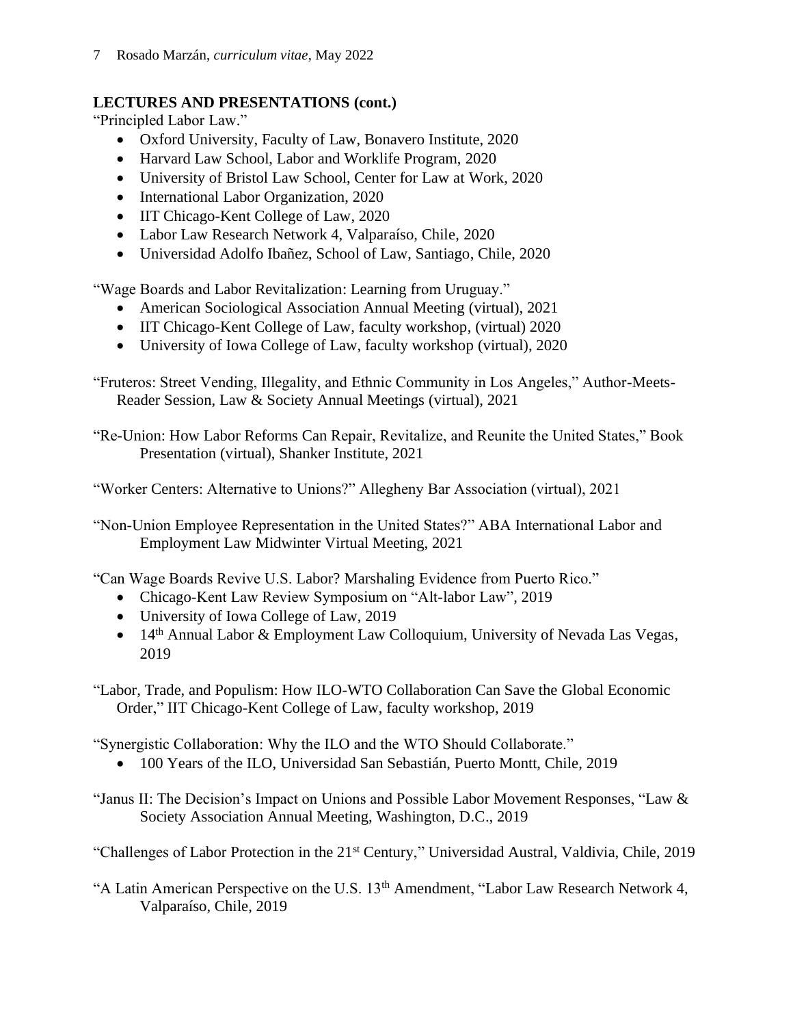## **LECTURES AND PRESENTATIONS (cont.)**

"Principled Labor Law."

- Oxford University, Faculty of Law, Bonavero Institute, 2020
- Harvard Law School, Labor and Worklife Program, 2020
- University of Bristol Law School, Center for Law at Work, 2020
- International Labor Organization, 2020
- IIT Chicago-Kent College of Law, 2020
- Labor Law Research Network 4, Valparaíso, Chile, 2020
- Universidad Adolfo Ibañez, School of Law, Santiago, Chile, 2020

"Wage Boards and Labor Revitalization: Learning from Uruguay."

- American Sociological Association Annual Meeting (virtual), 2021
- IIT Chicago-Kent College of Law, faculty workshop, (virtual) 2020
- University of Iowa College of Law, faculty workshop (virtual), 2020

"Fruteros: Street Vending, Illegality, and Ethnic Community in Los Angeles," Author-Meets-Reader Session, Law & Society Annual Meetings (virtual), 2021

"Re-Union: How Labor Reforms Can Repair, Revitalize, and Reunite the United States," Book Presentation (virtual), Shanker Institute, 2021

"Worker Centers: Alternative to Unions?" Allegheny Bar Association (virtual), 2021

"Non-Union Employee Representation in the United States?" ABA International Labor and Employment Law Midwinter Virtual Meeting, 2021

"Can Wage Boards Revive U.S. Labor? Marshaling Evidence from Puerto Rico."

- Chicago-Kent Law Review Symposium on "Alt-labor Law", 2019
- University of Iowa College of Law, 2019
- 14<sup>th</sup> Annual Labor & Employment Law Colloquium, University of Nevada Las Vegas, 2019

"Labor, Trade, and Populism: How ILO-WTO Collaboration Can Save the Global Economic Order," IIT Chicago-Kent College of Law, faculty workshop, 2019

"Synergistic Collaboration: Why the ILO and the WTO Should Collaborate."

• 100 Years of the ILO, Universidad San Sebastián, Puerto Montt, Chile, 2019

"Janus II: The Decision's Impact on Unions and Possible Labor Movement Responses, "Law  $\&$ Society Association Annual Meeting, Washington, D.C., 2019

"Challenges of Labor Protection in the 21<sup>st</sup> Century," Universidad Austral, Valdivia, Chile, 2019

"A Latin American Perspective on the U.S. 13th Amendment, "Labor Law Research Network 4, Valparaíso, Chile, 2019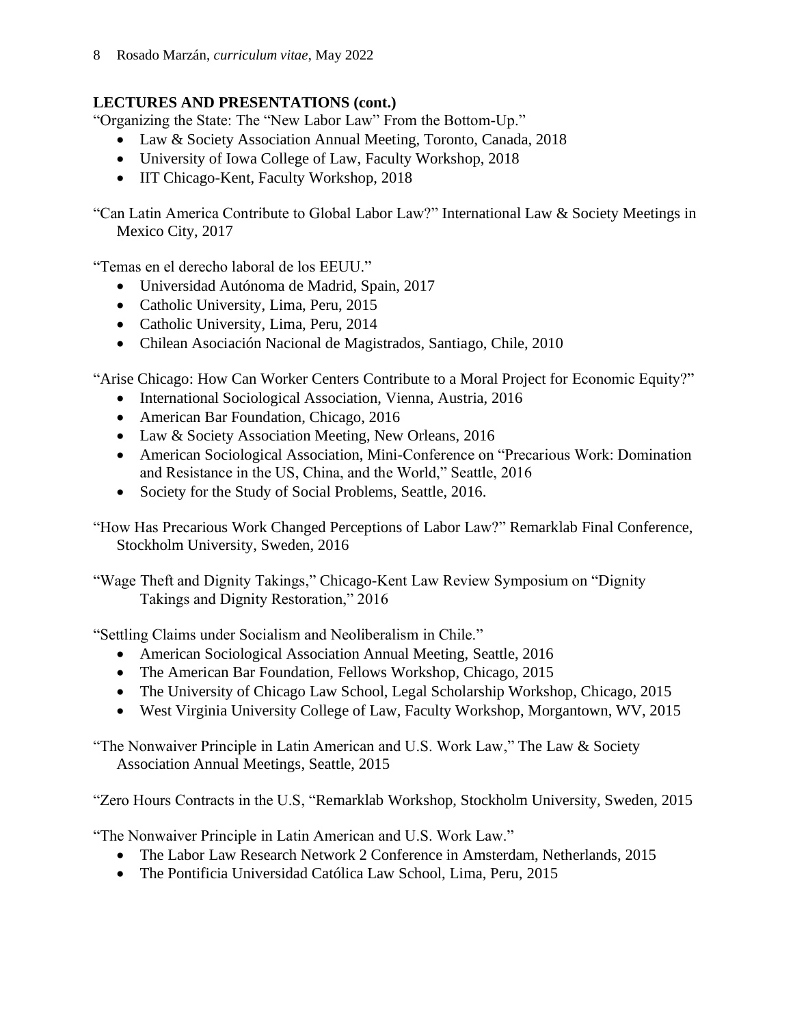8 Rosado Marzán, *curriculum vitae*, May 2022

## **LECTURES AND PRESENTATIONS (cont.)**

"Organizing the State: The "New Labor Law" From the Bottom-Up."

- Law & Society Association Annual Meeting, Toronto, Canada, 2018
- University of Iowa College of Law, Faculty Workshop, 2018
- IIT Chicago-Kent, Faculty Workshop, 2018

"Can Latin America Contribute to Global Labor Law?" International Law & Society Meetings in Mexico City, 2017

"Temas en el derecho laboral de los EEUU."

- Universidad Autónoma de Madrid, Spain, 2017
- Catholic University, Lima, Peru, 2015
- Catholic University, Lima, Peru, 2014
- Chilean Asociación Nacional de Magistrados, Santiago, Chile, 2010

"Arise Chicago: How Can Worker Centers Contribute to a Moral Project for Economic Equity?"

- International Sociological Association, Vienna, Austria, 2016
- American Bar Foundation, Chicago, 2016
- Law & Society Association Meeting, New Orleans, 2016
- American Sociological Association, Mini-Conference on "Precarious Work: Domination and Resistance in the US, China, and the World," Seattle, 2016
- Society for the Study of Social Problems, Seattle, 2016.

"How Has Precarious Work Changed Perceptions of Labor Law?" Remarklab Final Conference, Stockholm University, Sweden, 2016

"Wage Theft and Dignity Takings," Chicago-Kent Law Review Symposium on "Dignity Takings and Dignity Restoration," 2016

"Settling Claims under Socialism and Neoliberalism in Chile."

- American Sociological Association Annual Meeting, Seattle, 2016
- The American Bar Foundation, Fellows Workshop, Chicago, 2015
- The University of Chicago Law School, Legal Scholarship Workshop, Chicago, 2015
- West Virginia University College of Law, Faculty Workshop, Morgantown, WV, 2015

"The Nonwaiver Principle in Latin American and U.S. Work Law," The Law & Society Association Annual Meetings, Seattle, 2015

"Zero Hours Contracts in the U.S, "Remarklab Workshop, Stockholm University, Sweden, 2015

"The Nonwaiver Principle in Latin American and U.S. Work Law."

- The Labor Law Research Network 2 Conference in Amsterdam, Netherlands, 2015
- The Pontificia Universidad Católica Law School, Lima, Peru, 2015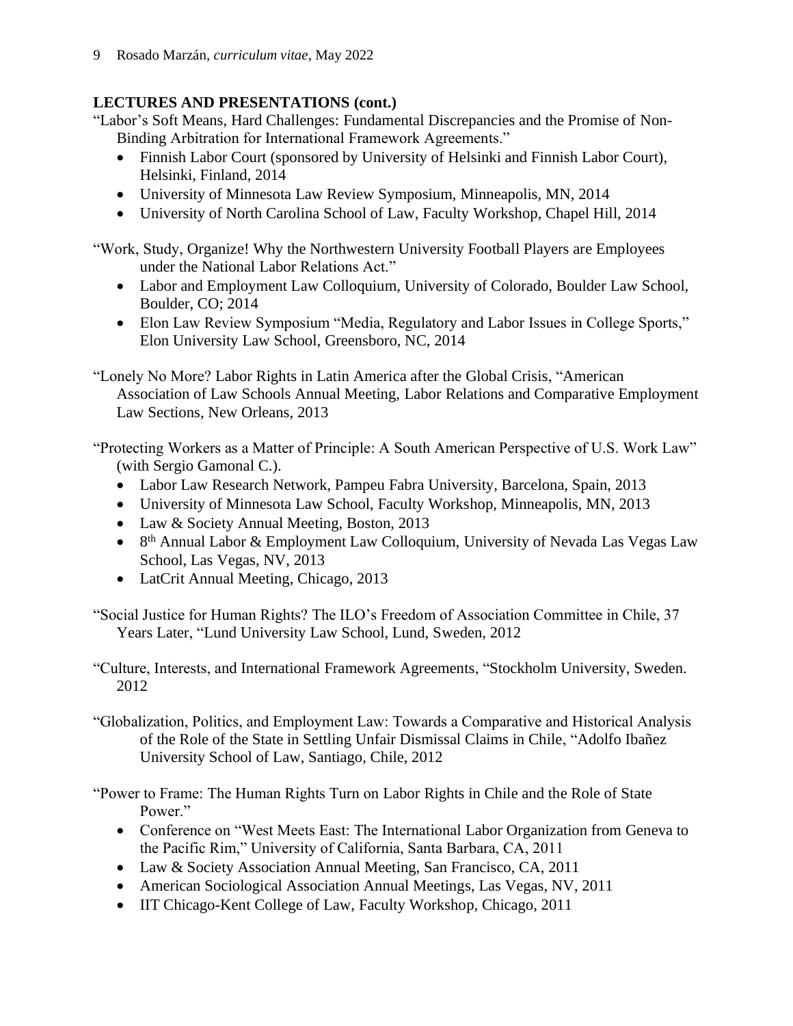9 Rosado Marzán, *curriculum vitae*, May 2022

## **LECTURES AND PRESENTATIONS (cont.)**

"Labor's Soft Means, Hard Challenges: Fundamental Discrepancies and the Promise of Non-Binding Arbitration for International Framework Agreements."

- Finnish Labor Court (sponsored by University of Helsinki and Finnish Labor Court), Helsinki, Finland, 2014
- University of Minnesota Law Review Symposium, Minneapolis, MN, 2014
- University of North Carolina School of Law, Faculty Workshop, Chapel Hill, 2014

"Work, Study, Organize! Why the Northwestern University Football Players are Employees under the National Labor Relations Act."

- Labor and Employment Law Colloquium, University of Colorado, Boulder Law School, Boulder, CO; 2014
- Elon Law Review Symposium "Media, Regulatory and Labor Issues in College Sports," Elon University Law School, Greensboro, NC, 2014

"Lonely No More? Labor Rights in Latin America after the Global Crisis, "American Association of Law Schools Annual Meeting, Labor Relations and Comparative Employment Law Sections, New Orleans, 2013

"Protecting Workers as a Matter of Principle: A South American Perspective of U.S. Work Law" (with Sergio Gamonal C.).

- Labor Law Research Network, Pampeu Fabra University, Barcelona, Spain, 2013
- University of Minnesota Law School, Faculty Workshop, Minneapolis, MN, 2013
- Law & Society Annual Meeting, Boston, 2013
- 8<sup>th</sup> Annual Labor & Employment Law Colloquium, University of Nevada Las Vegas Law School, Las Vegas, NV, 2013
- LatCrit Annual Meeting, Chicago, 2013

"Social Justice for Human Rights? The ILO's Freedom of Association Committee in Chile, 37 Years Later, "Lund University Law School, Lund, Sweden, 2012

"Culture, Interests, and International Framework Agreements, "Stockholm University, Sweden. 2012

"Globalization, Politics, and Employment Law: Towards a Comparative and Historical Analysis of the Role of the State in Settling Unfair Dismissal Claims in Chile, "Adolfo Ibañez University School of Law, Santiago, Chile, 2012

"Power to Frame: The Human Rights Turn on Labor Rights in Chile and the Role of State Power."

- Conference on "West Meets East: The International Labor Organization from Geneva to the Pacific Rim," University of California, Santa Barbara, CA, 2011
- Law & Society Association Annual Meeting, San Francisco, CA, 2011
- American Sociological Association Annual Meetings, Las Vegas, NV, 2011
- IIT Chicago-Kent College of Law, Faculty Workshop, Chicago, 2011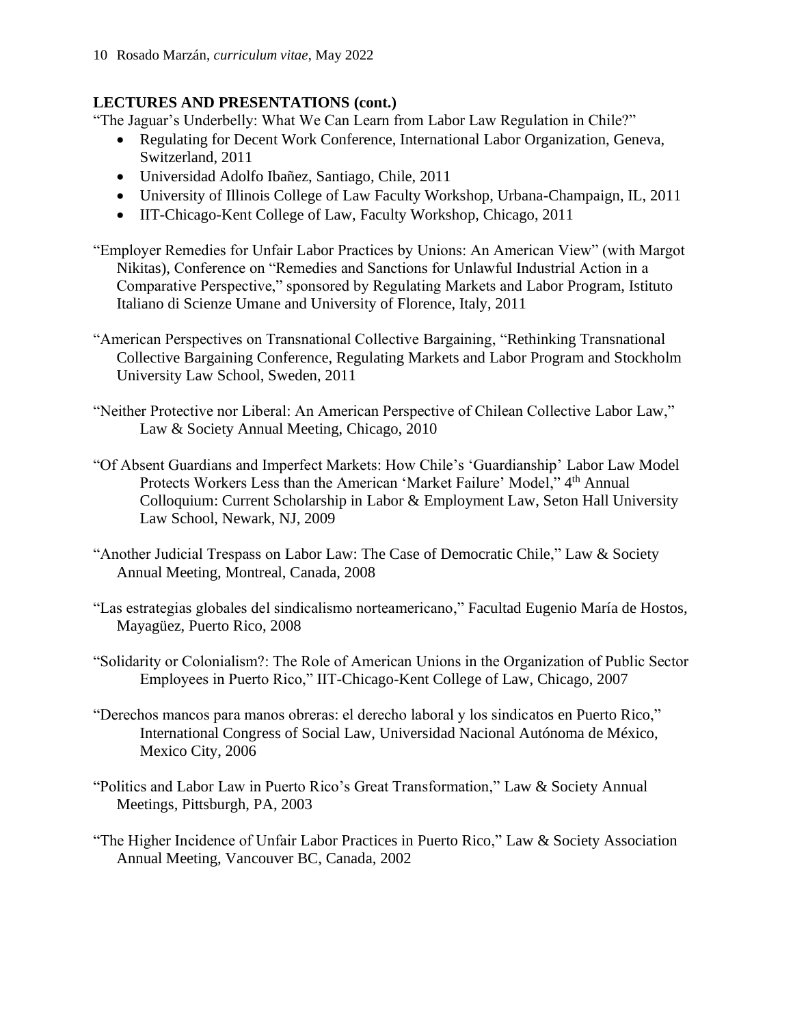## **LECTURES AND PRESENTATIONS (cont.)**

"The Jaguar's Underbelly: What We Can Learn from Labor Law Regulation in Chile?"

- Regulating for Decent Work Conference, International Labor Organization, Geneva, Switzerland, 2011
- Universidad Adolfo Ibañez, Santiago, Chile, 2011
- University of Illinois College of Law Faculty Workshop, Urbana-Champaign, IL, 2011
- IIT-Chicago-Kent College of Law, Faculty Workshop, Chicago, 2011
- "Employer Remedies for Unfair Labor Practices by Unions: An American View" (with Margot Nikitas), Conference on "Remedies and Sanctions for Unlawful Industrial Action in a Comparative Perspective," sponsored by Regulating Markets and Labor Program, Istituto Italiano di Scienze Umane and University of Florence, Italy, 2011
- "American Perspectives on Transnational Collective Bargaining, "Rethinking Transnational Collective Bargaining Conference, Regulating Markets and Labor Program and Stockholm University Law School, Sweden, 2011
- "Neither Protective nor Liberal: An American Perspective of Chilean Collective Labor Law," Law & Society Annual Meeting, Chicago, 2010
- "Of Absent Guardians and Imperfect Markets: How Chile's 'Guardianship' Labor Law Model Protects Workers Less than the American 'Market Failure' Model," 4<sup>th</sup> Annual Colloquium: Current Scholarship in Labor & Employment Law, Seton Hall University Law School, Newark, NJ, 2009
- "Another Judicial Trespass on Labor Law: The Case of Democratic Chile," Law & Society Annual Meeting, Montreal, Canada, 2008
- "Las estrategias globales del sindicalismo norteamericano," Facultad Eugenio María de Hostos, Mayagüez, Puerto Rico, 2008
- "Solidarity or Colonialism?: The Role of American Unions in the Organization of Public Sector Employees in Puerto Rico," IIT-Chicago-Kent College of Law, Chicago, 2007
- "Derechos mancos para manos obreras: el derecho laboral y los sindicatos en Puerto Rico," International Congress of Social Law, Universidad Nacional Autónoma de México, Mexico City, 2006
- "Politics and Labor Law in Puerto Rico's Great Transformation," Law & Society Annual Meetings, Pittsburgh, PA, 2003
- "The Higher Incidence of Unfair Labor Practices in Puerto Rico," Law & Society Association Annual Meeting, Vancouver BC, Canada, 2002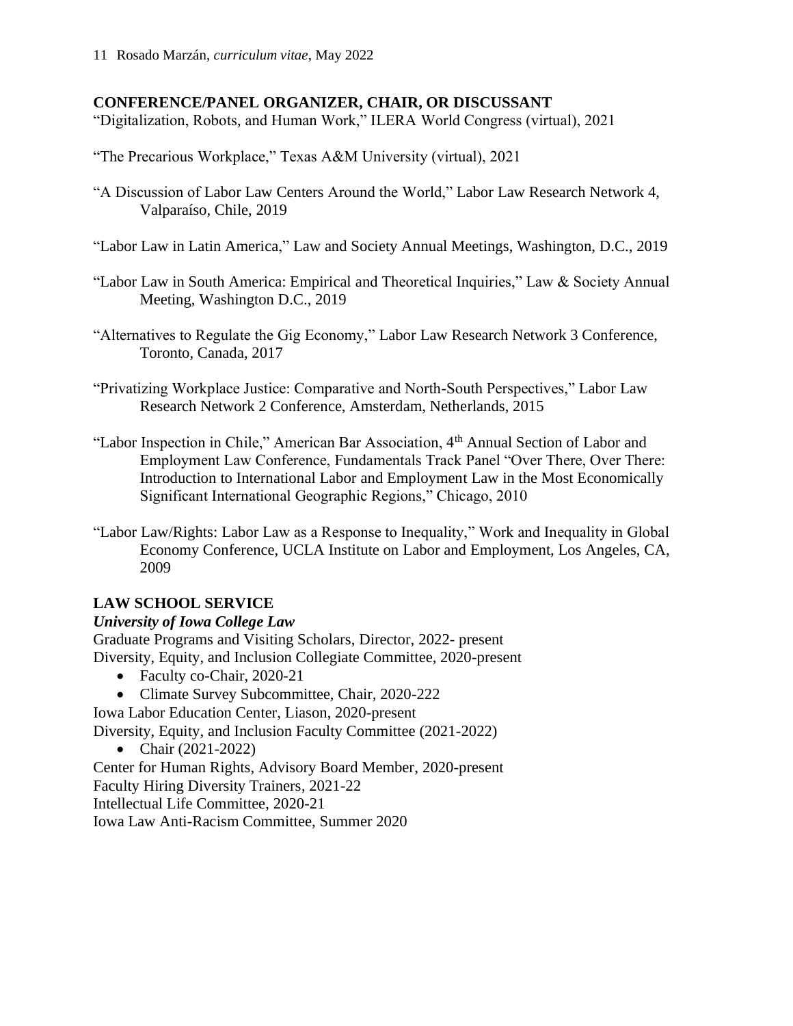#### **CONFERENCE/PANEL ORGANIZER, CHAIR, OR DISCUSSANT**

"Digitalization, Robots, and Human Work," ILERA World Congress (virtual), 2021

"The Precarious Workplace," Texas A&M University (virtual), 2021

- "A Discussion of Labor Law Centers Around the World," Labor Law Research Network 4, Valparaíso, Chile, 2019
- "Labor Law in Latin America," Law and Society Annual Meetings, Washington, D.C., 2019
- "Labor Law in South America: Empirical and Theoretical Inquiries," Law & Society Annual Meeting, Washington D.C., 2019
- "Alternatives to Regulate the Gig Economy," Labor Law Research Network 3 Conference, Toronto, Canada, 2017
- "Privatizing Workplace Justice: Comparative and North-South Perspectives," Labor Law Research Network 2 Conference, Amsterdam, Netherlands, 2015
- "Labor Inspection in Chile," American Bar Association, 4<sup>th</sup> Annual Section of Labor and Employment Law Conference, Fundamentals Track Panel "Over There, Over There: Introduction to International Labor and Employment Law in the Most Economically Significant International Geographic Regions," Chicago, 2010
- "Labor Law/Rights: Labor Law as a Response to Inequality," Work and Inequality in Global Economy Conference, UCLA Institute on Labor and Employment, Los Angeles, CA, 2009

### **LAW SCHOOL SERVICE**

#### *University of Iowa College Law*

Graduate Programs and Visiting Scholars, Director, 2022- present Diversity, Equity, and Inclusion Collegiate Committee, 2020-present

- Faculty co-Chair, 2020-21
- Climate Survey Subcommittee, Chair, 2020-222

Iowa Labor Education Center, Liason, 2020-present

Diversity, Equity, and Inclusion Faculty Committee (2021-2022)

• Chair (2021-2022)

Center for Human Rights, Advisory Board Member, 2020-present Faculty Hiring Diversity Trainers, 2021-22 Intellectual Life Committee, 2020-21 Iowa Law Anti-Racism Committee, Summer 2020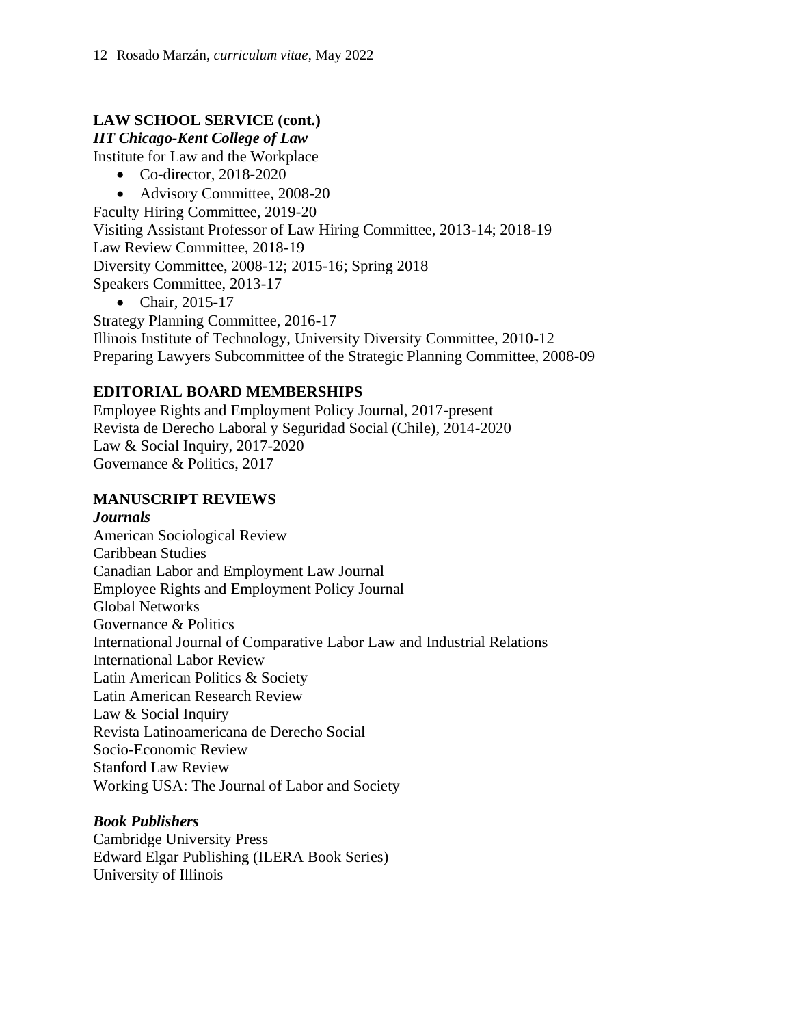## **LAW SCHOOL SERVICE (cont.)**

#### *IIT Chicago-Kent College of Law*

Institute for Law and the Workplace

- Co-director, 2018-2020
- Advisory Committee, 2008-20

Faculty Hiring Committee, 2019-20 Visiting Assistant Professor of Law Hiring Committee, 2013-14; 2018-19 Law Review Committee, 2018-19 Diversity Committee, 2008-12; 2015-16; Spring 2018 Speakers Committee, 2013-17

• Chair, 2015-17

Strategy Planning Committee, 2016-17 Illinois Institute of Technology, University Diversity Committee, 2010-12 Preparing Lawyers Subcommittee of the Strategic Planning Committee, 2008-09

## **EDITORIAL BOARD MEMBERSHIPS**

Employee Rights and Employment Policy Journal, 2017-present Revista de Derecho Laboral y Seguridad Social (Chile), 2014-2020 Law & Social Inquiry, 2017-2020 Governance & Politics, 2017

### **MANUSCRIPT REVIEWS**

#### *Journals*

American Sociological Review Caribbean Studies Canadian Labor and Employment Law Journal Employee Rights and Employment Policy Journal Global Networks Governance & Politics International Journal of Comparative Labor Law and Industrial Relations International Labor Review Latin American Politics & Society Latin American Research Review Law & Social Inquiry Revista Latinoamericana de Derecho Social Socio-Economic Review Stanford Law Review Working USA: The Journal of Labor and Society

### *Book Publishers*

Cambridge University Press Edward Elgar Publishing (ILERA Book Series) University of Illinois